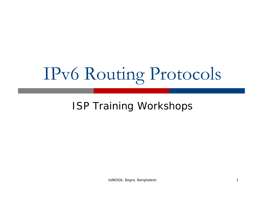# IPv6 Routing Protocols

#### ISP Training Workshops

bdNOG6, Bogra, Bangladesh 1988 and 1989 and 1989 and 1989 and 1989 and 1989 and 1989 and 1989 and 1989 and 198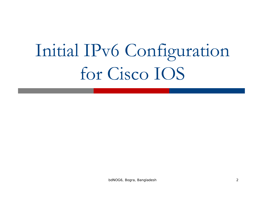# Initial IPv6 Configuration for Cisco IOS

bdNOG6, Bogra, Bangladesh 2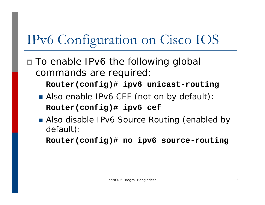## IPv6 Configuration on Cisco IOS

□ To enable IPv6 the following global commands are required:

**Router(config)# ipv6 unicast-routing**

- **Also enable IPv6 CEF (not on by default) Router(config)# ipv6 cef**
- **Also disable IPv6 Source Routing (enabled by** default):

**Router(config)# no ipv6 source-routing**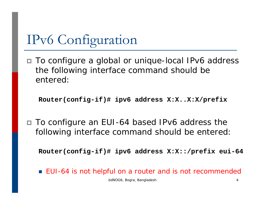## IPv6 Configuration

 To configure a global or unique-local IPv6 address the following interface command should be entered:

**Router(config-if)# ipv6 address X:X..X:X/prefix**

 To configure an EUI-64 based IPv6 address the following interface command should be entered:

**Router(config-if)# ipv6 address X:X::/prefix eui-64**

■ EUI-64 is not helpful on a router and is not recommended

bdNOG6, Bogra, Bangladesh 4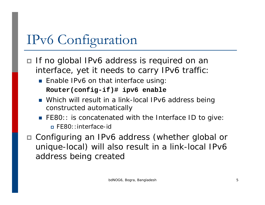# IPv6 Configuration

- □ If no global IPv6 address is required on an interface, yet it needs to carry IPv6 traffic:
	- **Enable IPv6 on that interface using**

```
Router(config-if)# ipv6 enable
```
- Which will result in a link-local IPv6 address being constructed automatically
- **FE80:: is concatenated with the Interface ID to give:** FE80::interface-id
- Configuring an IPv6 address (whether global or unique-local) will also result in a link-local IPv6 address being created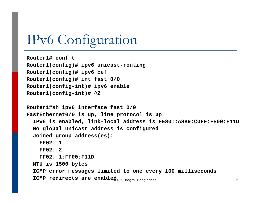### IPv6 Configuration

```
Router1# conf t
Router1(config)# ipv6 unicast-routing
Router1(config)# ipv6 cef
Router1(config)# int fast 0/0
Router1(config-int)# ipv6 enable
Router1(config-int)# ^Z
Router1#sh ipv6 interface fast 0/0 
FastEthernet0/0 is up, line protocol is up
  IPv6 is enabled, link-local address is FE80::A8B9:C0FF:FE00:F11D 
  No global unicast address is configured
  Joined group address(es):
    FF02::1FF02::2FF02::1:FF00:F11DMTU is 1500 bytes
  ICMP error messages limited to one every 100 milliseconds
  <code>ICMP</code> redirects are enabl_{\tiny{\textbf{B}\textbf{R}\textbf{G}6,\;\textbf{B}o\textbf{g}ra, \;\textbf{B}an\textbf{g}ladesh} _{6}
```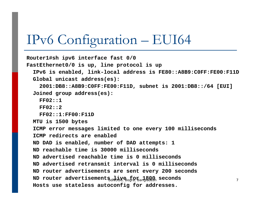#### IPv6 Configuration – EUI64

```
Router1#sh ipv6 interface fast 0/0 
FastEthernet0/0 is up, line protocol is up
  IPv6 is enabled, link-local address is FE80::A8B9:C0FF:FE00:F11D
 Global unicast address(es):
    2001:DB8::A8B9:C0FF:FE00:F11D, subnet is 2001:DB8::/64 [EUI]
  Joined group address(es):
    FF02::1FF02::2FF02::1:FF00:F11DMTU is 1500 bytes
  ICMP error messages limited to one every 100 milliseconds
  ICMP redirects are enabledND DAD is enabled, number of DAD attempts: 1
  ND reachable time is 30000 millisecondsND advertised reachable time is 0 millisecondsND advertised retransmit interval is 0 millisecondsND router advertisements are sent every 200 seconds
  {\tt ND} router advertisements<sub>dNOG6</sub>ye<sub>of</sub>for any acconds
  Hosts use stateless autoconfig for addresses.
```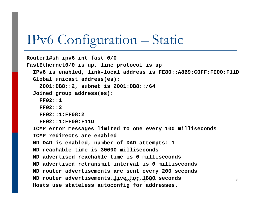#### IPv6 Configuration – Static

```
Router1#sh ipv6 int fast 0/0
FastEthernet0/0 is up, line protocol is up
  IPv6 is enabled, link-local address is FE80::A8B9:C0FF:FE00:F11D
  Global unicast address(es):
    2001:DB8::2, subnet is 2001:DB8::/64 
  Joined group address(es):
    FF02::1FF02::2FF02::1:FF08:2FF02::1:FF00:F11DICMP error messages limited to one every 100 milliseconds
  ICMP redirects are enabledND DAD is enabled, number of DAD attempts: 1
  ND reachable time is 30000 millisecondsND advertised reachable time is 0 millisecondsND advertised retransmit interval is 0 millisecondsND router advertisements are sent every 200 seconds
  {\tt ND} router advertisements<sub>dNOG6</sub>ye<sub>oo</sub>for and all seconds _{8}Hosts use stateless autoconfig for addresses.
```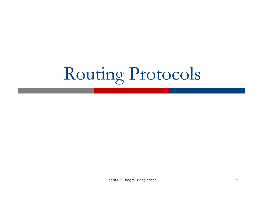# Routing Protocols

bdNOG6, Bogra, Bangladesh 9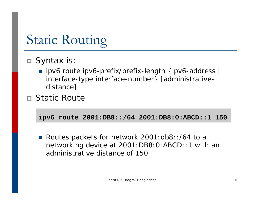## Static Routing

#### $\Box$  Syntax is

■ ipv6 route ipv6-prefix/prefix-length {ipv6-address | interface-type interface-number} [administrativedistance]

#### Static Route

**ipv6 route 2001:DB8::/64 2001:DB8:0:ABCD::1 150** 

■ Routes packets for network 2001:db8::/64 to a networking device at 2001:DB8:0:ABCD::1 with an administrative distance of 150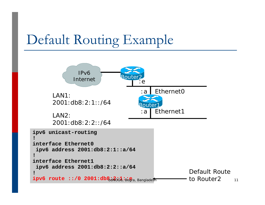### Default Routing Example

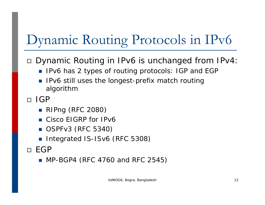# Dynamic Routing Protocols in IPv6

#### ■ Dynamic Routing in IPv6 is unchanged from IPv4

- IPv6 has 2 types of routing protocols: IGP and EGP
- P) IPv6 still uses the longest-prefix match routing algorithm

□ IGP

- RIPng (RFC 2080)
- Cisco EIGRP for IPv6
- OSPFv3 (RFC 5340)
- Integrated IS-ISv6 (RFC 5308)
- $\Box$  EGP
	- MP-BGP4 (RFC 4760 and RFC 2545)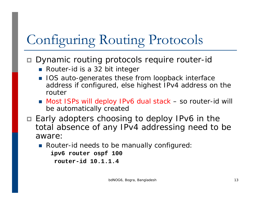# Configuring Routing Protocols

 $\Box$ Dynamic routing protocols require router-id

- Router-id is a 32 bit integer
- IOS auto-generates these from loopback interface address if configured, else highest IPv4 address on the router
- Most ISPs will deploy IPv6 dual stack so router-id will be automatically created
- □ Early adopters choosing to deploy IPv6 in the total absence of any IPv4 addressing need to be aware:
	- **Router-id needs to be manually configured**:

**ipv6 router ospf 100 router-id 10.1.1.4**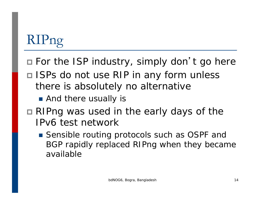# RIPng

- □ For the ISP industry, simply don't go here
- □ ISPs do not use RIP in any form unless there is absolutely no alternative
	- **And there usually is**
- RIPng was used in the early days of the IPv6 test network
	- Sensible routing protocols such as OSPF and BGP rapidly replaced RIPng when they became available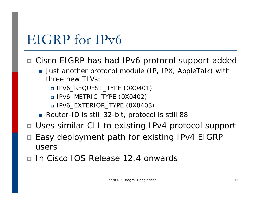#### EIGRP for IPv6

#### ■ Cisco EIGRP has had IPv6 protocol support addec

- **Just another protocol module (IP, IPX, AppleTalk) with** three new  $TUVs$ .
	- IPv6\_REQUEST\_TYPE (0X0401)
	- IPv6\_METRIC\_TYPE (0X0402)
	- IPv6\_EXTERIOR\_TYPE (0X0403)
- Router-ID is still 32-bit, protocol is still 88
- Uses similar CLI to existing IPv4 protocol support
- □ Easy deployment path for existing IPv4 EIGRP users
- ◘ In Cisco IOS Release 12.4 onwards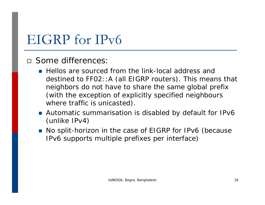### EIGRP for IPv6

#### Some differences:

- **Hellos are sourced from the link-local address and** destined to FF02::A (all EIGRP routers). This means that neighbors do not have to share the same global prefix (with the exception of explicitly specified neighbours where traffic is unicasted).
- Automatic summarisation is disabled by default for IPv6 (unlike IPv4)
- No split-horizon in the case of EIGRP for IPv6 (because IPv6 supports multiple prefixes per interface)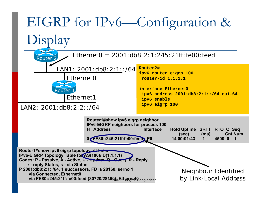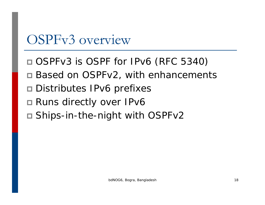### OSPFv3 overview

- OSPFv3 is OSPF for IPv6 (RFC 5340)
- Based on OSPFv2, with enhancements
- □ Distributes IPv6 prefixes
- □ Runs directly over IPv6
- Ships-in-the-night with OSPFv2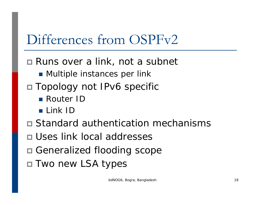### Differences from OSPFv2

- Runs over a link, not a subnet
	- **Multiple instances per link**
- Topology not IPv6 specific
	- Router ID
	- Link ID
- Standard authentication mechanisms
- Uses link local addresses
- Generalized flooding scope
- Two new LSA types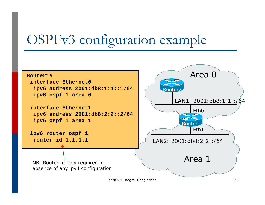### OSPFv3 configuration example

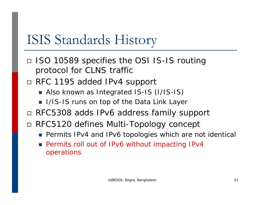### ISIS Standards History

- □ ISO 10589 specifies the OSI IS-IS routing protocol for CLNS traffic
- RFC 1195 added IPv4 support
	- Also known as Integrated IS-IS (I/IS-IS)
	- **I** I/IS-IS runs on top of the Data Link Layer
- RFC5308 adds IPv6 address family support
- RFC5120 defines Multi-Topology concept
	- **•** Permits IPv4 and IPv6 topologies which are not identical
	- F Permits roll out of IPv6 without impacting IPv4 operations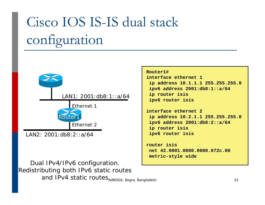# Cisco IOS IS-IS dual stack configuration



LAN2: 2001:db8:2::a/64

Dual IPv4/IPv6 configuration. Redistributing both IPv6 static routes and IPv4 static routes<sub>bdNOG6, Bogra, Bangladesh</sub>

#### **Router1#**

**interface ethernet 1ip address 10.1.1.1 255.255.255.0 ipv6 address 2001:db8:1::a/64 ip router isis ipv6 router isis**

```
interface ethernet 2ip address 10.2.1.1 255.255.255.0
ipv6 address 2001:db8:2::a/64
ip router isis
ipv6 router isis
```
**router isisnet 42.0001.0000.0000.072c.00metric-style wide**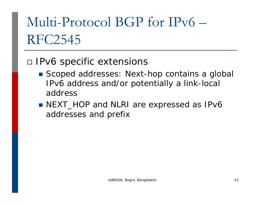# Multi-Protocol BGP for IPv6 – RFC2545

#### □ IPv6 specific extensions

- Scoped addresses: Next-hop contains a global IPv6 address and/or potentially a link-local address
- NEXT\_HOP and NLRI are expressed as IPv6 addresses and prefix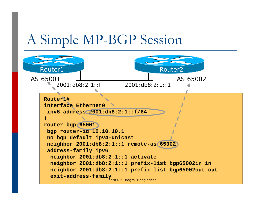### A Simple MP-BGP Session

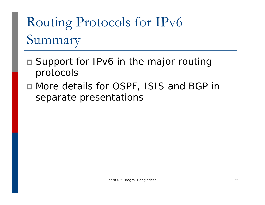# Routing Protocols for IPv6 Summary

- Support for IPv6 in the major routing protocols
- More details for OSPF, ISIS and BGP in separate presentations